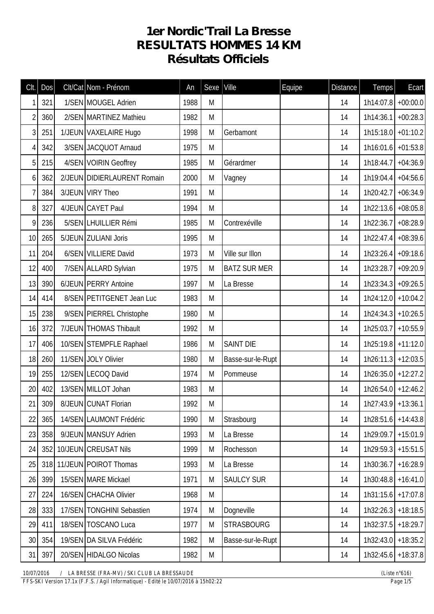## **1er Nordic'Trail La Bresse RESULTATS HOMMES 14 KM Résultats Officiels**

| Clt.           | <b>Dos</b> | Clt/Cat Nom - Prénom        | An   | Sexe | Ville               | Equipe | <b>Distance</b> | Temps                 | Ecart      |
|----------------|------------|-----------------------------|------|------|---------------------|--------|-----------------|-----------------------|------------|
| 1              | 321        | 1/SEN MOUGEL Adrien         | 1988 | M    |                     |        | 14              | $1h14:07.8$ +00:00.0  |            |
| $\overline{2}$ | 360        | 2/SEN MARTINEZ Mathieu      | 1982 | M    |                     |        | 14              | 1h14:36.1             | $+00:28.3$ |
| 3              | 251        | 1/JEUN VAXELAIRE Hugo       | 1998 | M    | Gerbamont           |        | 14              | $1h15:18.0$ +01:10.2  |            |
| 4              | 342        | 3/SEN JACQUOT Arnaud        | 1975 | M    |                     |        | 14              | $1h16:01.6$ +01:53.8  |            |
| 5              | 215        | 4/SEN VOIRIN Geoffrey       | 1985 | M    | Gérardmer           |        | 14              | $1h18:44.7$ +04:36.9  |            |
| 6              | 362        | 2/JEUN DIDIERLAURENT Romain | 2000 | M    | Vagney              |        | 14              | 1h19:04.4             | $+04:56.6$ |
| $\overline{1}$ | 384        | 3/JEUN VIRY Theo            | 1991 | M    |                     |        | 14              | $1h20:42.7$ +06:34.9  |            |
| 8              | 327        | 4/JEUN CAYET Paul           | 1994 | M    |                     |        | 14              | 1h22:13.6 +08:05.8    |            |
| 9              | 236        | 5/SEN LHUILLIER Rémi        | 1985 | M    | Contrexéville       |        | 14              | 1h22:36.7 +08:28.9    |            |
| 10             | 265        | 5/JEUN ZULIANI Joris        | 1995 | M    |                     |        | 14              | 1h22:47.4             | $+08:39.6$ |
| 11             | 204        | 6/SEN VILLIERE David        | 1973 | M    | Ville sur Illon     |        | 14              | $1h23:26.4$ +09:18.6  |            |
| 12             | 400        | 7/SEN ALLARD Sylvian        | 1975 | M    | <b>BATZ SUR MER</b> |        | 14              | $1h23:28.7$ +09:20.9  |            |
| 13             | 390        | 6/JEUN PERRY Antoine        | 1997 | M    | La Bresse           |        | 14              | $1h23:34.3$ +09:26.5  |            |
| 14             | 414        | 8/SEN PETITGENET Jean Luc   | 1983 | M    |                     |        | 14              | $1h24:12.0$ +10:04.2  |            |
| 15             | 238        | 9/SEN PIERREL Christophe    | 1980 | M    |                     |        | 14              | $1h24:34.3$ + 10:26.5 |            |
| 16             | 372        | 7/JEUN THOMAS Thibault      | 1992 | M    |                     |        | 14              | 1h25:03.7 +10:55.9    |            |
| 17             | 406        | 10/SEN STEMPFLE Raphael     | 1986 | M    | <b>SAINT DIE</b>    |        | 14              | $1h25:19.8$ +11:12.0  |            |
| 18             | 260        | 11/SEN JOLY Olivier         | 1980 | M    | Basse-sur-le-Rupt   |        | 14              | $1h26:11.3$ +12:03.5  |            |
| 19             | 255        | 12/SEN LECOQ David          | 1974 | M    | Pommeuse            |        | 14              | 1h26:35.0 +12:27.2    |            |
| 20             | 402        | 13/SEN MILLOT Johan         | 1983 | M    |                     |        | 14              | $1h26:54.0$ +12:46.2  |            |
| 21             | 309        | 8/JEUN CUNAT Florian        | 1992 | M    |                     |        | 14              | $1h27:43.9$ +13:36.1  |            |
| 22             | 365        | 14/SEN LAUMONT Frédéric     | 1990 | M    | Strasbourg          |        | 14              | $1h28:51.6$ +14:43.8  |            |
| 23             | 358        | 9/JEUN MANSUY Adrien        | 1993 | M    | La Bresse           |        | 14              | $1h29:09.7$ +15:01.9  |            |
| 24             |            | 352 10/JEUN CREUSAT Nils    | 1999 | M    | Rochesson           |        | 14              | $1h29:59.3$ +15:51.5  |            |
| 25             |            | 318 11/JEUN POIROT Thomas   | 1993 | M    | La Bresse           |        | 14              | 1h30:36.7 +16:28.9    |            |
| 26             | 399        | 15/SEN MARE Mickael         | 1971 | M    | <b>SAULCY SUR</b>   |        | 14              | $1h30:48.8$ + 16:41.0 |            |
| 27             | 224        | 16/SEN CHACHA Olivier       | 1968 | M    |                     |        | 14              | 1h31:15.6 +17:07.8    |            |
| 28             | 333        | 17/SEN TONGHINI Sebastien   | 1974 | M    | Dogneville          |        | 14              | $1h32:26.3$ +18:18.5  |            |
| 29             | 411        | 18/SEN TOSCANO Luca         | 1977 | M    | <b>STRASBOURG</b>   |        | 14              | 1h32:37.5 +18:29.7    |            |
| 30             | 354        | 19/SEN DA SILVA Frédéric    | 1982 | M    | Basse-sur-le-Rupt   |        | 14              | 1h32:43.0 +18:35.2    |            |
| 31             | 397        | 20/SEN HIDALGO Nicolas      | 1982 | M    |                     |        | 14              | $1h32:45.6$ + 18:37.8 |            |

*10/07/2016 / LA BRESSE (FRA-MV) / SKI CLUB LA BRESSAUDE (Liste n°616)*

*FFS-SKI Version 17.1x (F.F.S. / Agil Informatique) - Edité le 10/07/2016 à 15h02:22 Page 1/5*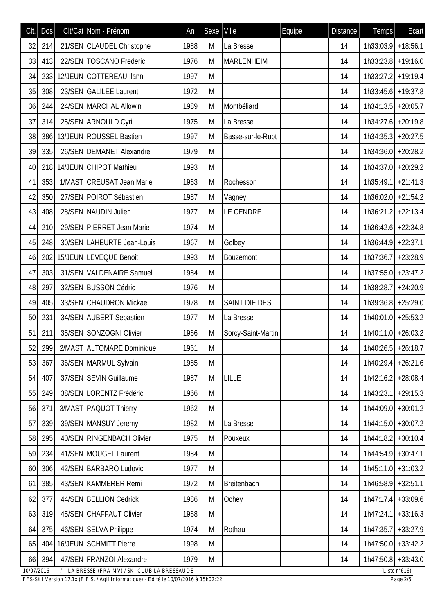| Clt.       | Dos | Clt/Cat Nom - Prénom                         | An   | Sexe | Ville              | Equipe | <b>Distance</b> | Temps                 | Ecart                   |
|------------|-----|----------------------------------------------|------|------|--------------------|--------|-----------------|-----------------------|-------------------------|
| 32         | 214 | 21/SEN CLAUDEL Christophe                    | 1988 | M    | La Bresse          |        | 14              | $1h33:03.9$ + 18:56.1 |                         |
| 33         | 413 | 22/SEN TOSCANO Frederic                      | 1976 | M    | <b>MARLENHEIM</b>  |        | 14              | $1h33:23.8$ +19:16.0  |                         |
| 34         | 233 | 12/JEUN COTTEREAU Ilann                      | 1997 | M    |                    |        | 14              | $1h33:27.2$ +19:19.4  |                         |
| 35         | 308 | 23/SEN GALILEE Laurent                       | 1972 | M    |                    |        | 14              | $1h33:45.6$ + 19:37.8 |                         |
| 36         | 244 | 24/SEN MARCHAL Allowin                       | 1989 | M    | Montbéliard        |        | 14              | 1h34:13.5 +20:05.7    |                         |
| 37         | 314 | 25/SEN ARNOULD Cyril                         | 1975 | M    | La Bresse          |        | 14              | $1h34:27.6$ +20:19.8  |                         |
| 38         |     | 386 13/JEUN ROUSSEL Bastien                  | 1997 | M    | Basse-sur-le-Rupt  |        | 14              | $1h34:35.3$ +20:27.5  |                         |
| 39         | 335 | 26/SEN DEMANET Alexandre                     | 1979 | M    |                    |        | 14              | 1h34:36.0 +20:28.2    |                         |
| 40         |     | 218 14/JEUN CHIPOT Mathieu                   | 1993 | M    |                    |        | 14              | 1h34:37.0 +20:29.2    |                         |
| 41         | 353 | 1/MAST CREUSAT Jean Marie                    | 1963 | M    | Rochesson          |        | 14              | $1h35:49.1$ +21:41.3  |                         |
| 42         | 350 | 27/SEN POIROT Sébastien                      | 1987 | M    | Vagney             |        | 14              | $1h36:02.0$ +21:54.2  |                         |
| 43         | 408 | 28/SEN NAUDIN Julien                         | 1977 | M    | LE CENDRE          |        | 14              | $1h36:21.2$ +22:13.4  |                         |
| 44         | 210 | 29/SEN PIERRET Jean Marie                    | 1974 | M    |                    |        | 14              | $1h36:42.6$ +22:34.8  |                         |
| 45         | 248 | 30/SEN LAHEURTE Jean-Louis                   | 1967 | M    | Golbey             |        | 14              | $1h36:44.9$ +22:37.1  |                         |
| 46         | 202 | 15/JEUN LEVEQUE Benoit                       | 1993 | M    | Bouzemont          |        | 14              | $1h37:36.7$ +23:28.9  |                         |
| 47         | 303 | 31/SEN VALDENAIRE Samuel                     | 1984 | M    |                    |        | 14              | 1h37:55.0 +23:47.2    |                         |
| 48         | 297 | 32/SEN BUSSON Cédric                         | 1976 | M    |                    |        | 14              | 1h38:28.7 +24:20.9    |                         |
| 49         | 405 | 33/SEN CHAUDRON Mickael                      | 1978 | M    | SAINT DIE DES      |        | 14              | $1h39:36.8$ +25:29.0  |                         |
| 50         | 231 | 34/SEN AUBERT Sebastien                      | 1977 | M    | La Bresse          |        | 14              | 1h40:01.0 +25:53.2    |                         |
| 51         | 211 | 35/SEN SONZOGNI Olivier                      | 1966 | M    | Sorcy-Saint-Martin |        | 14              | $1h40:11.0$ +26:03.2  |                         |
| 52         |     | 299 2/MAST ALTOMARE Dominique                | 1961 | M    |                    |        | 14              | $1h40:26.5$ +26:18.7  |                         |
| 53         | 367 | 36/SEN MARMUL Sylvain                        | 1985 | M    |                    |        | 14              | $1h40:29.4$ +26:21.6  |                         |
| 54         | 407 | 37/SEN SEVIN Guillaume                       | 1987 | M    | <b>LILLE</b>       |        | 14              | $1h42:16.2$ +28:08.4  |                         |
| 55         | 249 | 38/SEN LORENTZ Frédéric                      | 1966 | M    |                    |        | 14              | 1h43:23.1 +29:15.3    |                         |
| 56         | 371 | 3/MAST PAQUOT Thierry                        | 1962 | M    |                    |        | 14              | $1h44:09.0$ + 30:01.2 |                         |
| 57         | 339 | 39/SEN MANSUY Jeremy                         | 1982 | M    | La Bresse          |        | 14              | 1h44:15.0 +30:07.2    |                         |
| 58         | 295 | 40/SEN RINGENBACH Olivier                    | 1975 | M    | Pouxeux            |        | 14              | $1h44:18.2$ +30:10.4  |                         |
| 59         | 234 | 41/SEN MOUGEL Laurent                        | 1984 | M    |                    |        | 14              | 1h44:54.9 +30:47.1    |                         |
| 60         | 306 | 42/SEN BARBARO Ludovic                       | 1977 | M    |                    |        | 14              | $1h45:11.0$ + 31:03.2 |                         |
| 61         | 385 | 43/SEN KAMMERER Remi                         | 1972 | M    | Breitenbach        |        | 14              | $1h46:58.9$ + 32:51.1 |                         |
| 62         | 377 | 44/SEN BELLION Cedrick                       | 1986 | M    | Ochey              |        | 14              | $1h47:17.4$ + 33:09.6 |                         |
| 63         | 319 | 45/SEN CHAFFAUT Olivier                      | 1968 | M    |                    |        | 14              | $1h47:24.1$ +33:16.3  |                         |
| 64         | 375 | 46/SEN SELVA Philippe                        | 1974 | M    | Rothau             |        | 14              | 1h47:35.7             | $+33:27.9$              |
| 65         | 404 | 16/JEUN SCHMITT Pierre                       | 1998 | M    |                    |        | 14              | 1h47:50.0 +33:42.2    |                         |
| 66         | 394 | 47/SEN FRANZOI Alexandre                     | 1979 | M    |                    |        | 14              | $1h47:50.8$ +33:43.0  |                         |
| 10/07/2016 |     | / LA BRESSE (FRA-MV) / SKI CLUB LA BRESSAUDE |      |      |                    |        |                 |                       | (Liste $n^{\circ}616$ ) |

*FFS-SKI Version 17.1x (F.F.S. / Agil Informatique) - Edité le 10/07/2016 à 15h02:22 Page 2/5*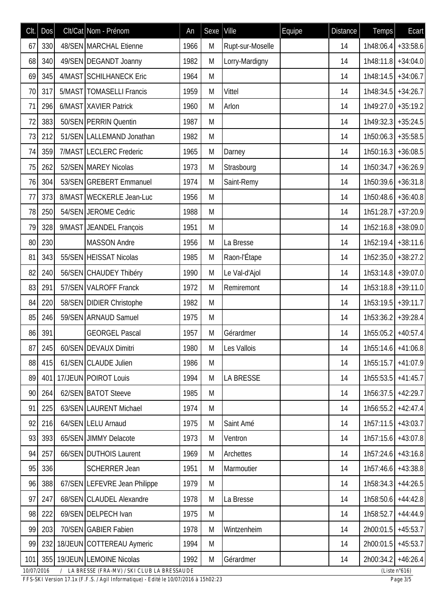| Clt.       | Dos | Clt/Cat Nom - Prénom                         | An   | Sexe | Ville            | Equipe | Distance | Temps                 | Ecart                   |
|------------|-----|----------------------------------------------|------|------|------------------|--------|----------|-----------------------|-------------------------|
| 67         | 330 | 48/SEN MARCHAL Etienne                       | 1966 | M    | Rupt-sur-Moselle |        | 14       | $1h48:06.4$ +33:58.6  |                         |
| 68         | 340 | 49/SEN DEGANDT Joanny                        | 1982 | M    | Lorry-Mardigny   |        | 14       | 1h48:11.8             | $+34:04.0$              |
| 69         | 345 | 4/MAST SCHILHANECK Eric                      | 1964 | M    |                  |        | 14       | $1h48:14.5$ + 34:06.7 |                         |
| 70         | 317 | 5/MAST   TOMASELLI Francis                   | 1959 | M    | Vittel           |        | 14       | $1h48:34.5$ + 34:26.7 |                         |
| 71         | 296 | 6/MAST XAVIER Patrick                        | 1960 | M    | Arlon            |        | 14       | $1h49:27.0$ + 35:19.2 |                         |
| 72         | 383 | 50/SEN PERRIN Quentin                        | 1987 | M    |                  |        | 14       | 1h49:32.3             | $+35:24.5$              |
| 73         | 212 | 51/SEN LALLEMAND Jonathan                    | 1982 | M    |                  |        | 14       | $1h50:06.3$ + 35:58.5 |                         |
| 74         | 359 | 7/MAST LECLERC Frederic                      | 1965 | M    | Darney           |        | 14       | $1h50:16.3 + 36:08.5$ |                         |
| 75         | 262 | 52/SEN MAREY Nicolas                         | 1973 | M    | Strasbourg       |        | 14       | 1h50:34.7             | $+36:26.9$              |
| 76         | 304 | 53/SEN GREBERT Emmanuel                      | 1974 | M    | Saint-Remy       |        | 14       | $1h50:39.6$ +36:31.8  |                         |
| 77         | 373 | 8/MAST WECKERLE Jean-Luc                     | 1956 | M    |                  |        | 14       | $1h50:48.6$ + 36:40.8 |                         |
| 78         | 250 | 54/SEN JEROME Cedric                         | 1988 | M    |                  |        | 14       | $1h51:28.7$ + 37:20.9 |                         |
| 79         | 328 | 9/MAST JEANDEL François                      | 1951 | M    |                  |        | 14       | 1h52:16.8             | $+38:09.0$              |
| 80         | 230 | <b>MASSON Andre</b>                          | 1956 | M    | La Bresse        |        | 14       | $1h52:19.4$ + 38:11.6 |                         |
| 81         | 343 | 55/SEN HEISSAT Nicolas                       | 1985 | M    | Raon-l'Étape     |        | 14       | $1h52:35.0$ + 38:27.2 |                         |
| 82         | 240 | 56/SEN CHAUDEY Thibéry                       | 1990 | M    | Le Val-d'Ajol    |        | 14       | $1h53:14.8$ + 39:07.0 |                         |
| 83         | 291 | 57/SEN VALROFF Franck                        | 1972 | M    | Remiremont       |        | 14       | $1h53:18.8$ + 39:11.0 |                         |
| 84         | 220 | 58/SEN DIDIER Christophe                     | 1982 | M    |                  |        | 14       | $1h53:19.5$ +39:11.7  |                         |
| 85         | 246 | 59/SEN ARNAUD Samuel                         | 1975 | M    |                  |        | 14       | $1h53:36.2$ + 39:28.4 |                         |
| 86         | 391 | <b>GEORGEL Pascal</b>                        | 1957 | M    | Gérardmer        |        | 14       | 1h55:05.2             | $+40:57.4$              |
| 87         | 245 | 60/SEN DEVAUX Dimitri                        | 1980 | M    | Les Vallois      |        | 14       | $1h55:14.6$ +41:06.8  |                         |
| 88         | 415 | 61/SEN CLAUDE Julien                         | 1986 | M    |                  |        | 14       | 1h55:15.7             | $+41:07.9$              |
| 89         | 401 | 17/JEUN POIROT Louis                         | 1994 | M    | <b>LA BRESSE</b> |        | 14       | $1h55:53.5$ +41:45.7  |                         |
| 90         | 264 | 62/SEN BATOT Steeve                          | 1985 | M    |                  |        | 14       | 1h56:37.5             | $+42:29.7$              |
| 91         | 225 | 63/SEN LAURENT Michael                       | 1974 | M    |                  |        | 14       | $1h56:55.2$ +42:47.4  |                         |
| 92         | 216 | 64/SEN LELU Arnaud                           | 1975 | M    | Saint Amé        |        | 14       | 1h57:11.5             | $+43:03.7$              |
| 93         | 393 | 65/SEN JIMMY Delacote                        | 1973 | M    | Ventron          |        | 14       | $1h57:15.6$ +43:07.8  |                         |
| 94         | 257 | 66/SEN DUTHOIS Laurent                       | 1969 | M    | Archettes        |        | 14       | $1h57:24.6$ +43:16.8  |                         |
| 95         | 336 | <b>SCHERRER Jean</b>                         | 1951 | M    | Marmoutier       |        | 14       | $1h57:46.6$ +43:38.8  |                         |
| 96         | 388 | 67/SEN LEFEVRE Jean Philippe                 | 1979 | M    |                  |        | 14       | 1h58:34.3             | $+44:26.5$              |
| 97         | 247 | 68/SEN CLAUDEL Alexandre                     | 1978 | M    | La Bresse        |        | 14       | $1h58:50.6$ +44:42.8  |                         |
| 98         | 222 | 69/SEN DELPECH Ivan                          | 1975 | M    |                  |        | 14       | 1h58:52.7             | $+44:44.9$              |
| 99         | 203 | 70/SEN GABIER Fabien                         | 1978 | M    | Wintzenheim      |        | 14       | 2h00:01.5             | $+45:53.7$              |
| 99         | 232 | 18/JEUN COTTEREAU Aymeric                    | 1994 | M    |                  |        | 14       | $2h00:01.5$ +45:53.7  |                         |
| 101        |     | 355 19/JEUN LEMOINE Nicolas                  | 1992 | M    | Gérardmer        |        | 14       | $2h00:34.2$ +46:26.4  |                         |
| 10/07/2016 |     | / LA BRESSE (FRA-MV) / SKI CLUB LA BRESSAUDE |      |      |                  |        |          |                       | (Liste $n^{\circ}616$ ) |

*FFS-SKI Version 17.1x (F.F.S. / Agil Informatique) - Edité le 10/07/2016 à 15h02:23 Page 3/5*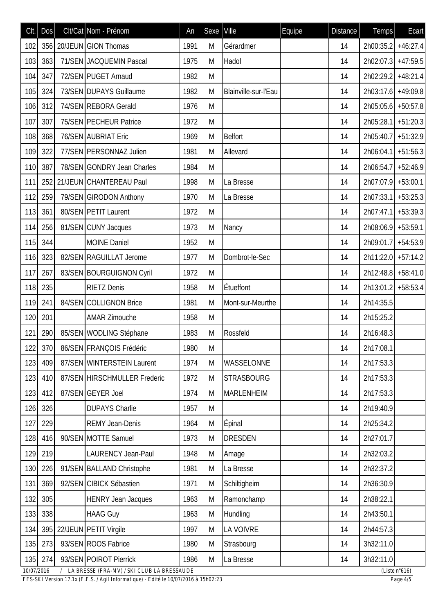| CIt.       | Dos | Clt/Cat Nom - Prénom                         | An   | Sexe <sup></sup> | Ville                | Equipe | Distance | Temps                 | Ecart                   |
|------------|-----|----------------------------------------------|------|------------------|----------------------|--------|----------|-----------------------|-------------------------|
| 102        |     | 356 20/JEUN GION Thomas                      | 1991 | M                | Gérardmer            |        | 14       | 2h00:35.2 +46:27.4    |                         |
| 103        | 363 | 71/SEN JACQUEMIN Pascal                      | 1975 | M                | Hadol                |        | 14       | $2h02:07.3$ +47:59.5  |                         |
| 104        | 347 | 72/SEN PUGET Arnaud                          | 1982 | M                |                      |        | 14       | 2h02:29.2 +48:21.4    |                         |
| 105        | 324 | 73/SEN DUPAYS Guillaume                      | 1982 | M                | Blainville-sur-l'Eau |        | 14       | 2h03:17.6 +49:09.8    |                         |
| 106        | 312 | 74/SEN REBORA Gerald                         | 1976 | M                |                      |        | 14       | 2h05:05.6 +50:57.8    |                         |
| 107        | 307 | 75/SEN PECHEUR Patrice                       | 1972 | M                |                      |        | 14       | 2h05:28.1             | $+51:20.3$              |
| 108        | 368 | 76/SEN AUBRIAT Eric                          | 1969 | M                | <b>Belfort</b>       |        | 14       | 2h05:40.7 +51:32.9    |                         |
| 109        | 322 | 77/SEN PERSONNAZ Julien                      | 1981 | M                | Allevard             |        | 14       | $2h06:04.1$ + 51:56.3 |                         |
| 110        | 387 | 78/SEN GONDRY Jean Charles                   | 1984 | M                |                      |        | 14       | $2h06:54.7$ +52:46.9  |                         |
| 111        | 252 | 21/JEUN CHANTEREAU Paul                      | 1998 | M                | La Bresse            |        | 14       | 2h07:07.9 +53:00.1    |                         |
| 112        | 259 | 79/SEN GIRODON Anthony                       | 1970 | M                | La Bresse            |        | 14       | $2h07:33.1$ +53:25.3  |                         |
| 113        | 361 | 80/SEN PETIT Laurent                         | 1972 | M                |                      |        | 14       | $2h07:47.1$ +53:39.3  |                         |
| 114        | 256 | 81/SEN CUNY Jacques                          | 1973 | M                | Nancy                |        | 14       | $2h08:06.9$ +53:59.1  |                         |
| 115        | 344 | <b>MOINE Daniel</b>                          | 1952 | M                |                      |        | 14       | 2h09:01.7 +54:53.9    |                         |
| 116        | 323 | 82/SEN RAGUILLAT Jerome                      | 1977 | M                | Dombrot-le-Sec       |        | 14       | 2h11:22.0 + 57:14.2   |                         |
| 117        | 267 | 83/SEN BOURGUIGNON Cyril                     | 1972 | M                |                      |        | 14       | $2h12:48.8$ +58:41.0  |                         |
| 118        | 235 | <b>RIETZ Denis</b>                           | 1958 | M                | Étueffont            |        | 14       | 2h13:01.2 +58:53.4    |                         |
| 119        | 241 | 84/SEN COLLIGNON Brice                       | 1981 | M                | Mont-sur-Meurthe     |        | 14       | 2h14:35.5             |                         |
| 120        | 201 | <b>AMAR Zimouche</b>                         | 1958 | M                |                      |        | 14       | 2h15:25.2             |                         |
| 121        | 290 | 85/SEN WODLING Stéphane                      | 1983 | M                | Rossfeld             |        | 14       | 2h16:48.3             |                         |
| 122        |     | 370 86/SEN FRANÇOIS Frédéric                 | 1980 | M                |                      |        | 14       | 2h17:08.1             |                         |
| 123        | 409 | 87/SEN WINTERSTEIN Laurent                   | 1974 | M                | WASSELONNE           |        | 14       | 2h17:53.3             |                         |
| 123        | 410 | 87/SEN HIRSCHMULLER Frederic                 | 1972 | M                | <b>STRASBOURG</b>    |        | 14       | 2h17:53.3             |                         |
| 123        | 412 | 87/SEN GEYER Joel                            | 1974 | M                | MARLENHEIM           |        | 14       | 2h17:53.3             |                         |
| 126        | 326 | <b>DUPAYS Charlie</b>                        | 1957 | M                |                      |        | 14       | 2h19:40.9             |                         |
| 127        | 229 | <b>REMY Jean-Denis</b>                       | 1964 | M                | Épinal               |        | 14       | 2h25:34.2             |                         |
| 128        | 416 | 90/SEN MOTTE Samuel                          | 1973 | M                | <b>DRESDEN</b>       |        | 14       | 2h27:01.7             |                         |
| 129        | 219 | <b>LAURENCY Jean-Paul</b>                    | 1948 | M                | Amage                |        | 14       | 2h32:03.2             |                         |
| 130        | 226 | 91/SEN BALLAND Christophe                    | 1981 | M                | La Bresse            |        | 14       | 2h32:37.2             |                         |
| 131        | 369 | 92/SEN CIBICK Sébastien                      | 1971 | M                | Schiltigheim         |        | 14       | 2h36:30.9             |                         |
| 132        | 305 | <b>HENRY Jean Jacques</b>                    | 1963 | M                | Ramonchamp           |        | 14       | 2h38:22.1             |                         |
| 133        | 338 | <b>HAAG Guy</b>                              | 1963 | M                | Hundling             |        | 14       | 2h43:50.1             |                         |
| 134        | 395 | 22/JEUN PETIT Virgile                        | 1997 | M                | LA VOIVRE            |        | 14       | 2h44:57.3             |                         |
| 135        | 273 | 93/SEN ROOS Fabrice                          | 1980 | M                | Strasbourg           |        | 14       | 3h32:11.0             |                         |
| 135        | 274 | 93/SEN POIROT Pierrick                       | 1986 | M                | La Bresse            |        | 14       | 3h32:11.0             |                         |
| 10/07/2016 |     | / LA BRESSE (FRA-MV) / SKI CLUB LA BRESSAUDE |      |                  |                      |        |          |                       | (Liste $n^{\circ}616$ ) |

*FFS-SKI Version 17.1x (F.F.S. / Agil Informatique) - Edité le 10/07/2016 à 15h02:23 Page 4/5*